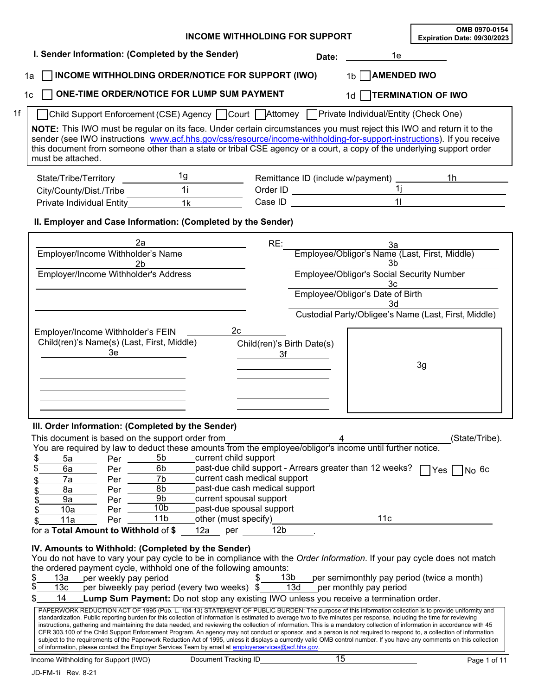|                                                                            |                                                     |                                                                                                                                                                                                                                                                                                                                                                                                                                                         | <b>INCOME WITHHOLDING FOR SUPPORT</b>                                                                                |                                                                                                                                                                                                                                |                                                 | OMB 0970-0154<br>Expiration Date: 09/30/2023                                                                                                                                                                                                                                                                                                                                                                                                                                                               |
|----------------------------------------------------------------------------|-----------------------------------------------------|---------------------------------------------------------------------------------------------------------------------------------------------------------------------------------------------------------------------------------------------------------------------------------------------------------------------------------------------------------------------------------------------------------------------------------------------------------|----------------------------------------------------------------------------------------------------------------------|--------------------------------------------------------------------------------------------------------------------------------------------------------------------------------------------------------------------------------|-------------------------------------------------|------------------------------------------------------------------------------------------------------------------------------------------------------------------------------------------------------------------------------------------------------------------------------------------------------------------------------------------------------------------------------------------------------------------------------------------------------------------------------------------------------------|
|                                                                            |                                                     | I. Sender Information: (Completed by the Sender)                                                                                                                                                                                                                                                                                                                                                                                                        |                                                                                                                      |                                                                                                                                                                                                                                | Date: <u>___________</u>                        | 1e de la contrad                                                                                                                                                                                                                                                                                                                                                                                                                                                                                           |
| 1a                                                                         |                                                     | INCOME WITHHOLDING ORDER/NOTICE FOR SUPPORT (IWO)                                                                                                                                                                                                                                                                                                                                                                                                       |                                                                                                                      |                                                                                                                                                                                                                                | 1b AMENDED IWO                                  |                                                                                                                                                                                                                                                                                                                                                                                                                                                                                                            |
| 1 <sub>c</sub>                                                             |                                                     | ONE-TIME ORDER/NOTICE FOR LUMP SUM PAYMENT                                                                                                                                                                                                                                                                                                                                                                                                              |                                                                                                                      |                                                                                                                                                                                                                                | 1d <b>TERMINATION OF IWO</b>                    |                                                                                                                                                                                                                                                                                                                                                                                                                                                                                                            |
|                                                                            |                                                     | Child Support Enforcement (CSE) Agency   Court   Attorney   Private Individual/Entity (Check One)                                                                                                                                                                                                                                                                                                                                                       |                                                                                                                      |                                                                                                                                                                                                                                |                                                 |                                                                                                                                                                                                                                                                                                                                                                                                                                                                                                            |
| must be attached.                                                          |                                                     |                                                                                                                                                                                                                                                                                                                                                                                                                                                         |                                                                                                                      |                                                                                                                                                                                                                                |                                                 | NOTE: This IWO must be regular on its face. Under certain circumstances you must reject this IWO and return it to the<br>sender (see IWO instructions www.acf.hhs.gov/css/resource/income-withholding-for-support-instructions). If you receive<br>this document from someone other than a state or tribal CSE agency or a court, a copy of the underlying support order                                                                                                                                   |
| State/Tribe/Territory ___________                                          |                                                     | 1g                                                                                                                                                                                                                                                                                                                                                                                                                                                      |                                                                                                                      |                                                                                                                                                                                                                                |                                                 |                                                                                                                                                                                                                                                                                                                                                                                                                                                                                                            |
| City/County/Dist./Tribe                                                    |                                                     | $\overline{11}$                                                                                                                                                                                                                                                                                                                                                                                                                                         |                                                                                                                      |                                                                                                                                                                                                                                |                                                 | Order ID<br>Case ID<br>11                                                                                                                                                                                                                                                                                                                                                                                                                                                                                  |
| <b>Private Individual Entity</b>                                           |                                                     | 1k                                                                                                                                                                                                                                                                                                                                                                                                                                                      |                                                                                                                      | Case ID and the contract of the contract of the contract of the contract of the contract of the contract of the contract of the contract of the contract of the contract of the contract of the contract of the contract of th |                                                 |                                                                                                                                                                                                                                                                                                                                                                                                                                                                                                            |
|                                                                            |                                                     | II. Employer and Case Information: (Completed by the Sender)                                                                                                                                                                                                                                                                                                                                                                                            |                                                                                                                      |                                                                                                                                                                                                                                |                                                 |                                                                                                                                                                                                                                                                                                                                                                                                                                                                                                            |
|                                                                            | 2a                                                  |                                                                                                                                                                                                                                                                                                                                                                                                                                                         | RE:                                                                                                                  |                                                                                                                                                                                                                                |                                                 | 3a<br>Employee/Obligor's Name (Last, First, Middle)                                                                                                                                                                                                                                                                                                                                                                                                                                                        |
| Employer/Income Withholder's Name                                          | 2b                                                  |                                                                                                                                                                                                                                                                                                                                                                                                                                                         |                                                                                                                      |                                                                                                                                                                                                                                | 3b                                              |                                                                                                                                                                                                                                                                                                                                                                                                                                                                                                            |
| Employer/Income Withholder's Address                                       |                                                     |                                                                                                                                                                                                                                                                                                                                                                                                                                                         |                                                                                                                      |                                                                                                                                                                                                                                | Employee/Obligor's Social Security Number<br>3c |                                                                                                                                                                                                                                                                                                                                                                                                                                                                                                            |
|                                                                            |                                                     |                                                                                                                                                                                                                                                                                                                                                                                                                                                         |                                                                                                                      |                                                                                                                                                                                                                                | Employee/Obligor's Date of Birth<br>3d          |                                                                                                                                                                                                                                                                                                                                                                                                                                                                                                            |
|                                                                            |                                                     |                                                                                                                                                                                                                                                                                                                                                                                                                                                         |                                                                                                                      |                                                                                                                                                                                                                                |                                                 | Custodial Party/Obligee's Name (Last, First, Middle)                                                                                                                                                                                                                                                                                                                                                                                                                                                       |
|                                                                            | 3e.                                                 |                                                                                                                                                                                                                                                                                                                                                                                                                                                         |                                                                                                                      |                                                                                                                                                                                                                                |                                                 | 3g                                                                                                                                                                                                                                                                                                                                                                                                                                                                                                         |
| \$<br>5a                                                                   | Per $\_\_\_\_\$                                     | III. Order Information: (Completed by the Sender)<br>This document is based on the support order from<br>You are required by law to deduct these amounts from the employee/obligor's income until further notice.<br>5b                                                                                                                                                                                                                                 | current child support                                                                                                |                                                                                                                                                                                                                                |                                                 | (State/Tribe).                                                                                                                                                                                                                                                                                                                                                                                                                                                                                             |
| \$<br>6a<br>7a<br>\$<br>8a<br>S<br>9a<br>\$<br>10a<br>\$                   | $Per \_$<br>$Per$ $\_\_$<br>Per<br>$Per$ $-$<br>Per | 6b<br>7b<br>8b<br>9b<br>10 <sub>b</sub>                                                                                                                                                                                                                                                                                                                                                                                                                 | current cash medical support<br>past-due cash medical support<br>current spousal support<br>past-due spousal support |                                                                                                                                                                                                                                |                                                 | past-due child support - Arrears greater than 12 weeks? $\Box$ Yes $\Box$ No 6c                                                                                                                                                                                                                                                                                                                                                                                                                            |
| 11a                                                                        | Per                                                 | 11 <sub>b</sub>                                                                                                                                                                                                                                                                                                                                                                                                                                         | other (must specify)                                                                                                 |                                                                                                                                                                                                                                | 11c                                             |                                                                                                                                                                                                                                                                                                                                                                                                                                                                                                            |
| for a Total Amount to Withhold of \$<br>13a<br>\$<br>13 <sub>c</sub><br>14 | per weekly pay period                               | IV. Amounts to Withhold: (Completed by the Sender)<br>the ordered payment cycle, withhold one of the following amounts:<br>per biweekly pay period (every two weeks) $\sqrt[6]{\ }$<br>Lump Sum Payment: Do not stop any existing IWO unless you receive a termination order.<br>standardization. Public reporting burden for this collection of information is estimated to average two to five minutes per response, including the time for reviewing | 12 <sub>b</sub><br>12a per<br>13 <sub>b</sub><br>\$                                                                  | 13d                                                                                                                                                                                                                            | per monthly pay period                          | You do not have to vary your pay cycle to be in compliance with the Order Information. If your pay cycle does not match<br>per semimonthly pay period (twice a month)<br>PAPERWORK REDUCTION ACT OF 1995 (Pub. L. 104-13) STATEMENT OF PUBLIC BURDEN: The purpose of this information collection is to provide uniformity and<br>instructions, gathering and maintaining the data needed, and reviewing the collection of information. This is a mandatory collection of information in accordance with 45 |
|                                                                            |                                                     | of information, please contact the Employer Services Team by email at employerservices@acf.hhs.gov.                                                                                                                                                                                                                                                                                                                                                     |                                                                                                                      | $\overline{15}$                                                                                                                                                                                                                |                                                 | CFR 303.100 of the Child Support Enforcement Program. An agency may not conduct or sponsor, and a person is not required to respond to, a collection of information<br>subject to the requirements of the Paperwork Reduction Act of 1995, unless it displays a currently valid OMB control number. If you have any comments on this collection                                                                                                                                                            |
| Income Withholding for Support (IWO)                                       |                                                     | Document Tracking ID                                                                                                                                                                                                                                                                                                                                                                                                                                    |                                                                                                                      |                                                                                                                                                                                                                                |                                                 | Page 1 of 11                                                                                                                                                                                                                                                                                                                                                                                                                                                                                               |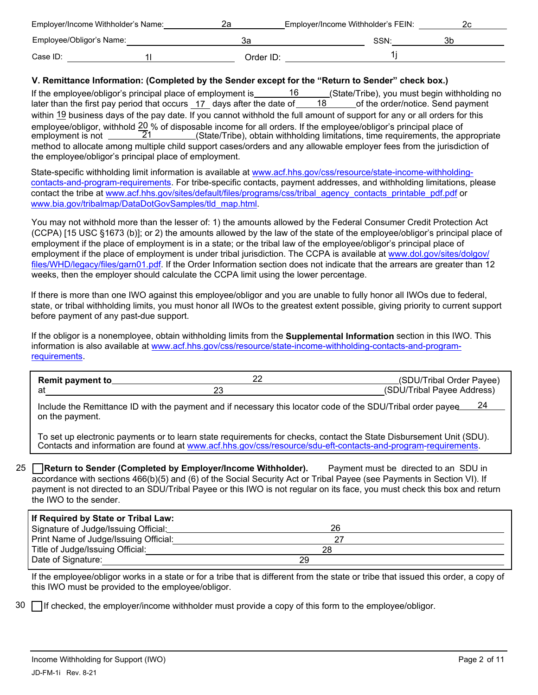|                          | Employer/Income Withholder's Name: |           | Employer/Income Withholder's FEIN: |    |
|--------------------------|------------------------------------|-----------|------------------------------------|----|
| Employee/Obligor's Name: |                                    | за        | SSN:                               | 3b |
| Case ID:                 |                                    | Order ID: |                                    |    |

#### **V. Remittance Information: (Completed by the Sender except for the "Return to Sender" check box.)**

If the employee/obligor's principal place of employment is  $\frac{16}{18}$  (State/Tribe), you must begin withholding no later than the first pay period that occurs 17 days after the date of 18 of the order/notice. Send paymen later than the first pay period that occurs 17 days after the date of within 19 business days of the pay date. If you cannot withhold the full amount of support for any or all orders for this employee/obligor, withhold  $\frac{20}{5}$  % of disposable income for all orders. If the employee/obligor's principal place of employment is not  $\frac{21}{100}$  (State/Tribe), obtain withholding limitations, time requirements, th employment is not \_\_\_\_\_\_\_21\_\_\_\_\_\_\_\_(State/Tribe), obtain withholding limitations, time requirements, the appropriate method to allocate among multiple child support cases/orders and any allowable employer fees from the jurisdiction of the employee/obligor's principal place of employment.

State-specific withholding limit information is available at www.acf.hhs.gov/css/resource/state-income-withholdingcontacts-and-program-requirements. For tribe-specific contacts, payment addresses, and withholding limitations, please contact the tribe at www.acf.hhs.gov/sites/default/files/programs/css/tribal\_agency\_contacts\_printable\_pdf.pdf or www.bia.gov/tribalmap/DataDotGovSamples/tld\_map.html.

You may not withhold more than the lesser of: 1) the amounts allowed by the Federal Consumer Credit Protection Act (CCPA) [15 USC §1673 (b)]; or 2) the amounts allowed by the law of the state of the employee/obligor's principal place of employment if the place of employment is in a state; or the tribal law of the employee/obligor's principal place of [employment if the place of employment is under tribal jurisdiction. The CCPA is available at www.dol.gov/sites/dolgov/](www.dol.gov/sites/dolgov/ files/WHD/legacy/files/garn01.pdf) files/WHD/legacy/files/garn01.pdf. If the Order Information section does not indicate that the arrears are greater than 12 weeks, then the employer should calculate the CCPA limit using the lower percentage.

If there is more than one IWO against this employee/obligor and you are unable to fully honor all IWOs due to federal, state, or tribal withholding limits, you must honor all IWOs to the greatest extent possible, giving priority to current support before payment of any past-due support.

If the obligor is a nonemployee, obtain withholding limits from the **Supplemental Information** section in this IWO. This information is also available at www.acf.hhs.gov/css/resource/state-income-withholding-contacts-and-programrequirements.

| <b>Remit payment to</b> | (SDU/Tribal Order Payee)   |
|-------------------------|----------------------------|
|                         | (SDU/Tribal Payee Address) |

Include the Remittance ID with the payment and if necessary this locator code of the SDU/Tribal order payee  $24$ on the payment.

To set up electronic payments or to learn state requirements for checks, contact the State Disbursement Unit (SDU). Contacts and information are found at www.acf.hhs.gov/css/resource/sdu-eft-contacts-and-program-requirements.

25 **Return to Sender (Completed by Employer/Income Withholder).** Payment must be directed to an SDU in accordance with sections 466(b)(5) and (6) of the Social Security Act or Tribal Payee (see Payments in Section VI). If payment is not directed to an SDU/Tribal Payee or this IWO is not regular on its face, you must check this box and return the IWO to the sender.

| If Required by State or Tribal Law:   |    |  |
|---------------------------------------|----|--|
| Signature of Judge/Issuing Official:  | 26 |  |
| Print Name of Judge/Issuing Official: |    |  |
| Title of Judge/Issuing Official:      | 28 |  |
| Date of Signature:                    | 29 |  |
|                                       |    |  |

If the employee/obligor works in a state or for a tribe that is different from the state or tribe that issued this order, a copy of this IWO must be provided to the employee/obligor.

30 If checked, the employer/income withholder must provide a copy of this form to the employee/obligor.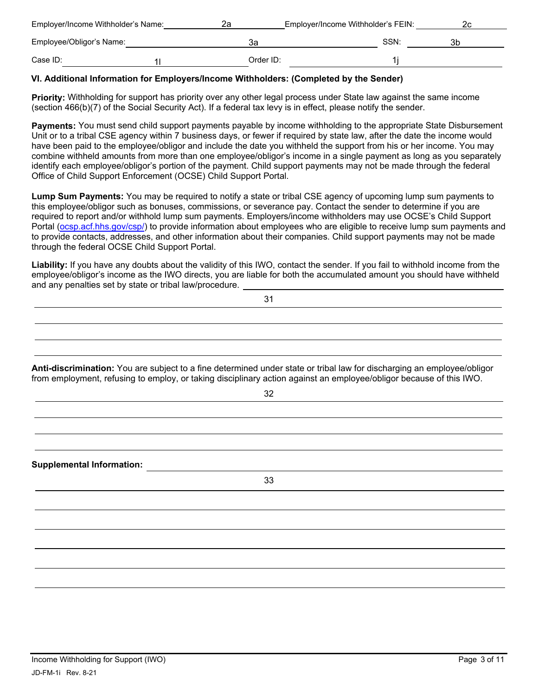| Employer/Income Withholder's Name: | 2a        | Employer/Income Withholder's FEIN: |    |
|------------------------------------|-----------|------------------------------------|----|
| Employee/Obligor's Name:           | за        | SSN:                               | 3b |
| Case ID:                           | Order ID: |                                    |    |

#### **VI. Additional Information for Employers/Income Withholders: (Completed by the Sender)**

**Priority:** Withholding for support has priority over any other legal process under State law against the same income (section 466(b)(7) of the Social Security Act). If a federal tax levy is in effect, please notify the sender.

**Payments:** You must send child support payments payable by income withholding to the appropriate State Disbursement Unit or to a tribal CSE agency within 7 business days, or fewer if required by state law, after the date the income would have been paid to the employee/obligor and include the date you withheld the support from his or her income. You may combine withheld amounts from more than one employee/obligor's income in a single payment as long as you separately identify each employee/obligor's portion of the payment. Child support payments may not be made through the federal Office of Child Support Enforcement (OCSE) Child Support Portal.

**Lump Sum Payments:** You may be required to notify a state or tribal CSE agency of upcoming lump sum payments to this employee/obligor such as bonuses, commissions, or severance pay. Contact the sender to determine if you are required to report and/or withhold lump sum payments. Employers/income withholders may use OCSE's Child Support Portal [\(ocsp.acf.hhs.gov/csp/](ocsp.acf.hhs.gov/csp/)) to provide information about employees who are eligible to receive lump sum payments and to provide contacts, addresses, and other information about their companies. Child support payments may not be made through the federal OCSE Child Support Portal.

**Liability:** If you have any doubts about the validity of this IWO, contact the sender. If you fail to withhold income from the employee/obligor's income as the IWO directs, you are liable for both the accumulated amount you should have withheld and any penalties set by state or tribal law/procedure.

**Anti-discrimination:** You are subject to a fine determined under state or tribal law for discharging an employee/obligor from employment, refusing to employ, or taking disciplinary action against an employee/obligor because of this IWO.

32

**Supplemental Information:**  33

31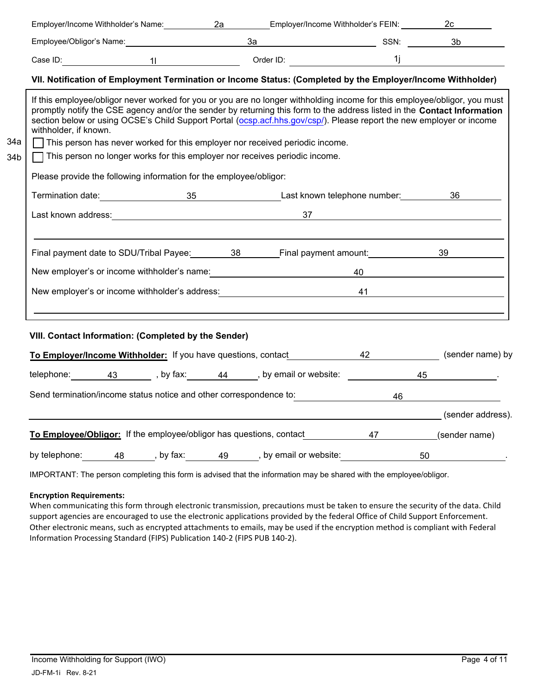| Employee/Obligor's Name: 1988 and 1989 and 1989 and 1989 and 1989 and 1989 and 1989 and 1989 and 198<br>VII. Notification of Employment Termination or Income Status: (Completed by the Employer/Income Withholder)<br>If this employee/obligor never worked for you or you are no longer withholding income for this employee/obligor, you must<br>promptly notify the CSE agency and/or the sender by returning this form to the address listed in the Contact Information<br>section below or using OCSE's Child Support Portal (ocsp.acf.hhs.gov/csp/). Please report the new employer or income<br>withholder, if known.<br>34a<br>$\Box$ This person has never worked for this employer nor received periodic income.<br>$\Box$ This person no longer works for this employer nor receives periodic income.<br>34b<br>Please provide the following information for the employee/obligor:<br>Last known address: example and the set of the set of the set of the set of the set of the set of the set of the set of the set of the set of the set of the set of the set of the set of the set of the set of the set of the<br>Final payment date to SDU/Tribal Payee: 38 Final payment amount: 39 39<br>New employer's or income withholder's name: 100 million and the matter of the matter of the matter of the matter of the matter of the matter of the matter of the matter of the matter of the matter of the matter of the matt<br>New employer's or income withholder's address: 41 and 41<br>VIII. Contact Information: (Completed by the Sender)<br>To Employer/Income Withholder: If you have questions, contact 42 42 (sender name) by<br>Send termination/income status notice and other correspondence to: 46 46<br>(sender address). |  |  | Employer/Income Withholder's Name: 2a Camployer/Income Withholder's FEIN: 2c 2c |  |                   |
|-----------------------------------------------------------------------------------------------------------------------------------------------------------------------------------------------------------------------------------------------------------------------------------------------------------------------------------------------------------------------------------------------------------------------------------------------------------------------------------------------------------------------------------------------------------------------------------------------------------------------------------------------------------------------------------------------------------------------------------------------------------------------------------------------------------------------------------------------------------------------------------------------------------------------------------------------------------------------------------------------------------------------------------------------------------------------------------------------------------------------------------------------------------------------------------------------------------------------------------------------------------------------------------------------------------------------------------------------------------------------------------------------------------------------------------------------------------------------------------------------------------------------------------------------------------------------------------------------------------------------------------------------------------------------------------------------------------------------------------------------------------|--|--|---------------------------------------------------------------------------------|--|-------------------|
|                                                                                                                                                                                                                                                                                                                                                                                                                                                                                                                                                                                                                                                                                                                                                                                                                                                                                                                                                                                                                                                                                                                                                                                                                                                                                                                                                                                                                                                                                                                                                                                                                                                                                                                                                           |  |  |                                                                                 |  |                   |
|                                                                                                                                                                                                                                                                                                                                                                                                                                                                                                                                                                                                                                                                                                                                                                                                                                                                                                                                                                                                                                                                                                                                                                                                                                                                                                                                                                                                                                                                                                                                                                                                                                                                                                                                                           |  |  |                                                                                 |  |                   |
|                                                                                                                                                                                                                                                                                                                                                                                                                                                                                                                                                                                                                                                                                                                                                                                                                                                                                                                                                                                                                                                                                                                                                                                                                                                                                                                                                                                                                                                                                                                                                                                                                                                                                                                                                           |  |  |                                                                                 |  |                   |
|                                                                                                                                                                                                                                                                                                                                                                                                                                                                                                                                                                                                                                                                                                                                                                                                                                                                                                                                                                                                                                                                                                                                                                                                                                                                                                                                                                                                                                                                                                                                                                                                                                                                                                                                                           |  |  |                                                                                 |  |                   |
|                                                                                                                                                                                                                                                                                                                                                                                                                                                                                                                                                                                                                                                                                                                                                                                                                                                                                                                                                                                                                                                                                                                                                                                                                                                                                                                                                                                                                                                                                                                                                                                                                                                                                                                                                           |  |  |                                                                                 |  |                   |
|                                                                                                                                                                                                                                                                                                                                                                                                                                                                                                                                                                                                                                                                                                                                                                                                                                                                                                                                                                                                                                                                                                                                                                                                                                                                                                                                                                                                                                                                                                                                                                                                                                                                                                                                                           |  |  |                                                                                 |  |                   |
|                                                                                                                                                                                                                                                                                                                                                                                                                                                                                                                                                                                                                                                                                                                                                                                                                                                                                                                                                                                                                                                                                                                                                                                                                                                                                                                                                                                                                                                                                                                                                                                                                                                                                                                                                           |  |  |                                                                                 |  |                   |
|                                                                                                                                                                                                                                                                                                                                                                                                                                                                                                                                                                                                                                                                                                                                                                                                                                                                                                                                                                                                                                                                                                                                                                                                                                                                                                                                                                                                                                                                                                                                                                                                                                                                                                                                                           |  |  |                                                                                 |  |                   |
|                                                                                                                                                                                                                                                                                                                                                                                                                                                                                                                                                                                                                                                                                                                                                                                                                                                                                                                                                                                                                                                                                                                                                                                                                                                                                                                                                                                                                                                                                                                                                                                                                                                                                                                                                           |  |  |                                                                                 |  |                   |
|                                                                                                                                                                                                                                                                                                                                                                                                                                                                                                                                                                                                                                                                                                                                                                                                                                                                                                                                                                                                                                                                                                                                                                                                                                                                                                                                                                                                                                                                                                                                                                                                                                                                                                                                                           |  |  |                                                                                 |  |                   |
|                                                                                                                                                                                                                                                                                                                                                                                                                                                                                                                                                                                                                                                                                                                                                                                                                                                                                                                                                                                                                                                                                                                                                                                                                                                                                                                                                                                                                                                                                                                                                                                                                                                                                                                                                           |  |  |                                                                                 |  |                   |
|                                                                                                                                                                                                                                                                                                                                                                                                                                                                                                                                                                                                                                                                                                                                                                                                                                                                                                                                                                                                                                                                                                                                                                                                                                                                                                                                                                                                                                                                                                                                                                                                                                                                                                                                                           |  |  |                                                                                 |  |                   |
|                                                                                                                                                                                                                                                                                                                                                                                                                                                                                                                                                                                                                                                                                                                                                                                                                                                                                                                                                                                                                                                                                                                                                                                                                                                                                                                                                                                                                                                                                                                                                                                                                                                                                                                                                           |  |  |                                                                                 |  |                   |
|                                                                                                                                                                                                                                                                                                                                                                                                                                                                                                                                                                                                                                                                                                                                                                                                                                                                                                                                                                                                                                                                                                                                                                                                                                                                                                                                                                                                                                                                                                                                                                                                                                                                                                                                                           |  |  |                                                                                 |  |                   |
|                                                                                                                                                                                                                                                                                                                                                                                                                                                                                                                                                                                                                                                                                                                                                                                                                                                                                                                                                                                                                                                                                                                                                                                                                                                                                                                                                                                                                                                                                                                                                                                                                                                                                                                                                           |  |  |                                                                                 |  |                   |
|                                                                                                                                                                                                                                                                                                                                                                                                                                                                                                                                                                                                                                                                                                                                                                                                                                                                                                                                                                                                                                                                                                                                                                                                                                                                                                                                                                                                                                                                                                                                                                                                                                                                                                                                                           |  |  |                                                                                 |  |                   |
|                                                                                                                                                                                                                                                                                                                                                                                                                                                                                                                                                                                                                                                                                                                                                                                                                                                                                                                                                                                                                                                                                                                                                                                                                                                                                                                                                                                                                                                                                                                                                                                                                                                                                                                                                           |  |  |                                                                                 |  |                   |
|                                                                                                                                                                                                                                                                                                                                                                                                                                                                                                                                                                                                                                                                                                                                                                                                                                                                                                                                                                                                                                                                                                                                                                                                                                                                                                                                                                                                                                                                                                                                                                                                                                                                                                                                                           |  |  |                                                                                 |  |                   |
| To Employee/Obligor: If the employee/obligor has questions, contact 47 47 (sender name)                                                                                                                                                                                                                                                                                                                                                                                                                                                                                                                                                                                                                                                                                                                                                                                                                                                                                                                                                                                                                                                                                                                                                                                                                                                                                                                                                                                                                                                                                                                                                                                                                                                                   |  |  |                                                                                 |  |                   |
| by telephone: 48 _____, by fax: 49 ____, by email or website:                                                                                                                                                                                                                                                                                                                                                                                                                                                                                                                                                                                                                                                                                                                                                                                                                                                                                                                                                                                                                                                                                                                                                                                                                                                                                                                                                                                                                                                                                                                                                                                                                                                                                             |  |  |                                                                                 |  | $\overline{50}$ . |

IMPORTANT: The person completing this form is advised that the information may be shared with the employee/obligor.

#### **Encryption Requirements:**

When communicating this form through electronic transmission, precautions must be taken to ensure the security of the data. Child support agencies are encouraged to use the electronic applications provided by the federal Office of Child Support Enforcement. Other electronic means, such as encrypted attachments to emails, may be used if the encryption method is compliant with Federal Information Processing Standard (FIPS) Publication 140-2 (FIPS PUB 140-2).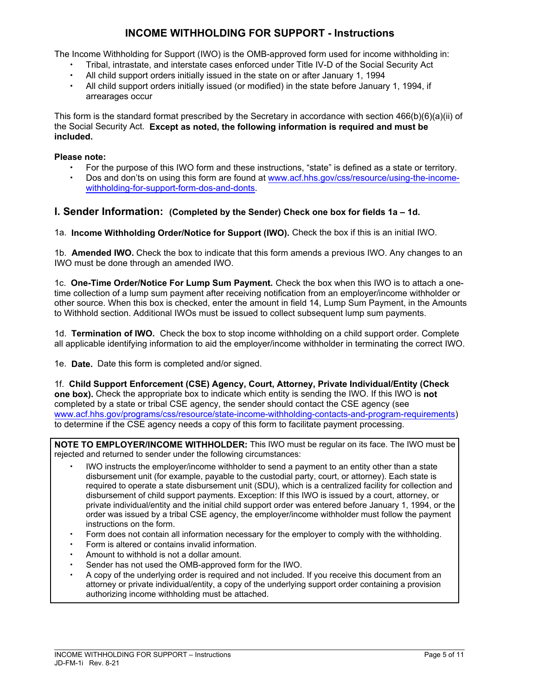# **INCOME WITHHOLDING FOR SUPPORT - Instructions**

The Income Withholding for Support (IWO) is the OMB-approved form used for income withholding in:

- Tribal, intrastate, and interstate cases enforced under Title IV-D of the Social Security Act
- All child support orders initially issued in the state on or after January 1, 1994
- All child support orders initially issued (or modified) in the state before January 1, 1994, if arrearages occur

This form is the standard format prescribed by the Secretary in accordance with section 466(b)(6)(a)(ii) of the Social Security Act. **Except as noted, the following information is required and must be included.** 

#### **Please note:**

- For the purpose of this IWO form and these instructions, "state" is defined as a state or territory.
- Dos and don'ts on using this form are found at www.acf.hhs.gov/css/resource/using-the-incomewithholding-for-support-form-dos-and-donts.

## **I. Sender Information: (Completed by the Sender) Check one box for fields 1a – 1d.**

1a. **Income Withholding Order/Notice for Support (IWO).** Check the box if this is an initial IWO.

1b. **Amended IWO.** Check the box to indicate that this form amends a previous IWO. Any changes to an IWO must be done through an amended IWO.

1c. **One-Time Order/Notice For Lump Sum Payment.** Check the box when this IWO is to attach a onetime collection of a lump sum payment after receiving notification from an employer/income withholder or other source. When this box is checked, enter the amount in field 14, Lump Sum Payment, in the Amounts to Withhold section. Additional IWOs must be issued to collect subsequent lump sum payments.

1d. **Termination of IWO.** Check the box to stop income withholding on a child support order. Complete all applicable identifying information to aid the employer/income withholder in terminating the correct IWO.

1e. **Date.** Date this form is completed and/or signed.

1f. **Child Support Enforcement (CSE) Agency, Court, Attorney, Private Individual/Entity (Check one box).** Check the appropriate box to indicate which entity is sending the IWO. If this IWO is **not**  completed by a state or tribal CSE agency, the sender should contact the CSE agency (see www.acf.hhs.gov/programs/css/resource/state-income-withholding-contacts-and-program-requirements) to determine if the CSE agency needs a copy of this form to facilitate payment processing.

**NOTE TO EMPLOYER/INCOME WITHHOLDER:** This IWO must be regular on its face. The IWO must be rejected and returned to sender under the following circumstances:

- IWO instructs the employer/income withholder to send a payment to an entity other than a state disbursement unit (for example, payable to the custodial party, court, or attorney). Each state is required to operate a state disbursement unit (SDU), which is a centralized facility for collection and disbursement of child support payments. Exception: If this IWO is issued by a court, attorney, or private individual/entity and the initial child support order was entered before January 1, 1994, or the order was issued by a tribal CSE agency, the employer/income withholder must follow the payment instructions on the form.
- Form does not contain all information necessary for the employer to comply with the withholding.
- Form is altered or contains invalid information.
- Amount to withhold is not a dollar amount.
- Sender has not used the OMB-approved form for the IWO.
- A copy of the underlying order is required and not included. If you receive this document from an attorney or private individual/entity, a copy of the underlying support order containing a provision authorizing income withholding must be attached.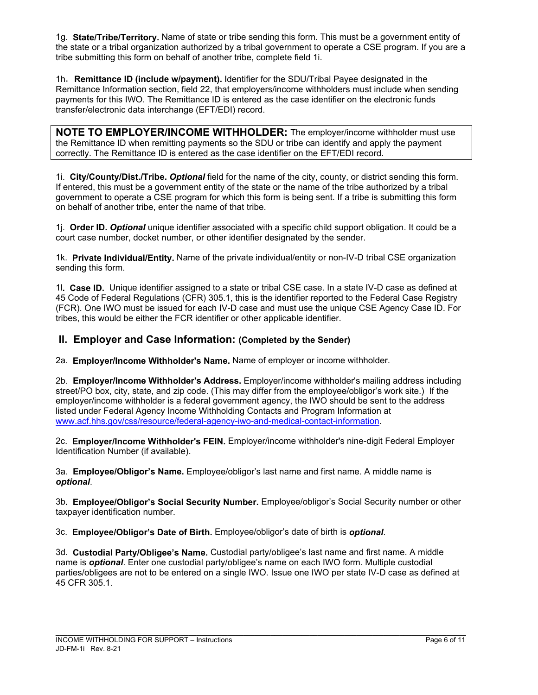1g. **State/Tribe/Territory.** Name of state or tribe sending this form. This must be a government entity of the state or a tribal organization authorized by a tribal government to operate a CSE program. If you are a tribe submitting this form on behalf of another tribe, complete field 1i.

1h. **Remittance ID (include w/payment).** Identifier for the SDU/Tribal Payee designated in the Remittance Information section, field 22, that employers/income withholders must include when sending payments for this IWO. The Remittance ID is entered as the case identifier on the electronic funds transfer/electronic data interchange (EFT/EDI) record.

**NOTE TO EMPLOYER/INCOME WITHHOLDER:** The employer/income withholder must use the Remittance ID when remitting payments so the SDU or tribe can identify and apply the payment correctly. The Remittance ID is entered as the case identifier on the EFT/EDI record.

1i. **City/County/Dist./Tribe.** *Optional* field for the name of the city, county, or district sending this form. If entered, this must be a government entity of the state or the name of the tribe authorized by a tribal government to operate a CSE program for which this form is being sent. If a tribe is submitting this form on behalf of another tribe, enter the name of that tribe.

1j. **Order ID.** *Optional* unique identifier associated with a specific child support obligation. It could be a court case number, docket number, or other identifier designated by the sender.

1k. **Private Individual/Entity.** Name of the private individual/entity or non-IV-D tribal CSE organization sending this form.

1l**. Case ID.** Unique identifier assigned to a state or tribal CSE case. In a state IV-D case as defined at 45 Code of Federal Regulations (CFR) 305.1, this is the identifier reported to the Federal Case Registry (FCR). One IWO must be issued for each IV-D case and must use the unique CSE Agency Case ID. For tribes, this would be either the FCR identifier or other applicable identifier.

# **II. Employer and Case Information: (Completed by the Sender)**

2a. **Employer/Income Withholder's Name.** Name of employer or income withholder.

2b. **Employer/Income Withholder's Address.** Employer/income withholder's mailing address including street/PO box, city, state, and zip code. (This may differ from the employee/obligor's work site.) If the employer/income withholder is a federal government agency, the IWO should be sent to the address listed under Federal Agency Income Withholding Contacts and Program Information at www.acf.hhs.gov/css/resource/federal-agency-iwo-and-medical-contact-information.

2c. **Employer/Income Withholder's FEIN.** Employer/income withholder's nine-digit Federal Employer Identification Number (if available).

3a. **Employee/Obligor's Name.** Employee/obligor's last name and first name. A middle name is *optional*.

3b**. Employee/Obligor's Social Security Number.** Employee/obligor's Social Security number or other taxpayer identification number.

3c. **Employee/Obligor's Date of Birth.** Employee/obligor's date of birth is *optional*.

3d. **Custodial Party/Obligee's Name.** Custodial party/obligee's last name and first name. A middle name is *optional*. Enter one custodial party/obligee's name on each IWO form. Multiple custodial parties/obligees are not to be entered on a single IWO. Issue one IWO per state IV-D case as defined at 45 CFR 305.1.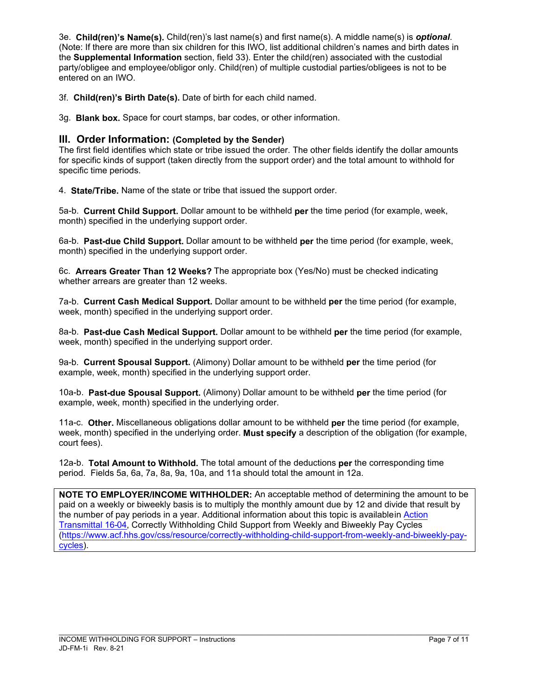3e. **Child(ren)'s Name(s).** Child(ren)'s last name(s) and first name(s). A middle name(s) is *optional*. (Note: If there are more than six children for this IWO, list additional children's names and birth dates in the **Supplemental Information** section, field 33). Enter the child(ren) associated with the custodial party/obligee and employee/obligor only. Child(ren) of multiple custodial parties/obligees is not to be entered on an IWO.

3f. **Child(ren)'s Birth Date(s).** Date of birth for each child named.

3g. **Blank box.** Space for court stamps, bar codes, or other information.

## **III. Order Information: (Completed by the Sender)**

The first field identifies which state or tribe issued the order. The other fields identify the dollar amounts for specific kinds of support (taken directly from the support order) and the total amount to withhold for specific time periods.

4. **State/Tribe.** Name of the state or tribe that issued the support order.

5a-b. **Current Child Support.** Dollar amount to be withheld **per** the time period (for example, week, month) specified in the underlying support order.

6a-b. **Past-due Child Support.** Dollar amount to be withheld **per** the time period (for example, week, month) specified in the underlying support order.

6c. **Arrears Greater Than 12 Weeks?** The appropriate box (Yes/No) must be checked indicating whether arrears are greater than 12 weeks.

7a-b. **Current Cash Medical Support.** Dollar amount to be withheld **per** the time period (for example, week, month) specified in the underlying support order.

8a-b. **Past-due Cash Medical Support.** Dollar amount to be withheld **per** the time period (for example, week, month) specified in the underlying support order.

9a-b. **Current Spousal Support.** (Alimony) Dollar amount to be withheld **per** the time period (for example, week, month) specified in the underlying support order.

10a-b. **Past-due Spousal Support.** (Alimony) Dollar amount to be withheld **per** the time period (for example, week, month) specified in the underlying order.

11a-c. **Other.** Miscellaneous obligations dollar amount to be withheld **per** the time period (for example, week, month) specified in the underlying order. **Must specify** a description of the obligation (for example, court fees).

12a-b. **Total Amount to Withhold.** The total amount of the deductions **per** the corresponding time period. Fields 5a, 6a, 7a, 8a, 9a, 10a, and 11a should total the amount in 12a.

**NOTE TO EMPLOYER/INCOME WITHHOLDER:** An acceptable method of determining the amount to be paid on a weekly or biweekly basis is to multiply the monthly amount due by 12 and divide that result by the number of pay periods in a year. Additional information about this topic is available in Action Transmittal 16-04, Correctly Withholding Child Support from Weekly and Biweekly Pay Cycles (https://www.acf.hhs.gov/css/resource/correctly-withholding-child-support-from-weekly-and-biweekly-paycycles).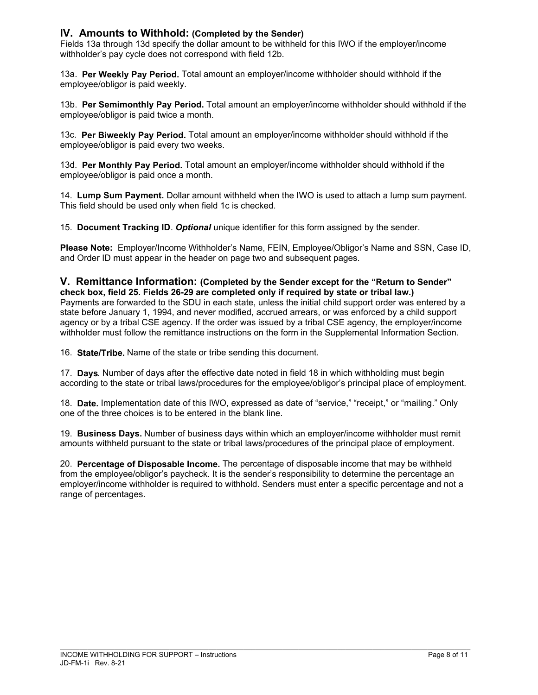## **IV. Amounts to Withhold: (Completed by the Sender)**

Fields 13a through 13d specify the dollar amount to be withheld for this IWO if the employer/income withholder's pay cycle does not correspond with field 12b.

13a. **Per Weekly Pay Period.** Total amount an employer/income withholder should withhold if the employee/obligor is paid weekly.

13b. **Per Semimonthly Pay Period.** Total amount an employer/income withholder should withhold if the employee/obligor is paid twice a month.

13c. **Per Biweekly Pay Period.** Total amount an employer/income withholder should withhold if the employee/obligor is paid every two weeks.

13d. **Per Monthly Pay Period.** Total amount an employer/income withholder should withhold if the employee/obligor is paid once a month.

14. **Lump Sum Payment.** Dollar amount withheld when the IWO is used to attach a lump sum payment. This field should be used only when field 1c is checked.

15. **Document Tracking ID**. *Optional* unique identifier for this form assigned by the sender.

**Please Note:** Employer/Income Withholder's Name, FEIN, Employee/Obligor's Name and SSN, Case ID, and Order ID must appear in the header on page two and subsequent pages.

#### **V. Remittance Information: (Completed by the Sender except for the "Return to Sender" check box, field 25. Fields 26-29 are completed only if required by state or tribal law.)**

Payments are forwarded to the SDU in each state, unless the initial child support order was entered by a state before January 1, 1994, and never modified, accrued arrears, or was enforced by a child support agency or by a tribal CSE agency. If the order was issued by a tribal CSE agency, the employer/income withholder must follow the remittance instructions on the form in the Supplemental Information Section.

16. **State/Tribe.** Name of the state or tribe sending this document.

17. **Days**. Number of days after the effective date noted in field 18 in which withholding must begin according to the state or tribal laws/procedures for the employee/obligor's principal place of employment.

18. **Date.** Implementation date of this IWO, expressed as date of "service," "receipt," or "mailing." Only one of the three choices is to be entered in the blank line.

19. **Business Days.** Number of business days within which an employer/income withholder must remit amounts withheld pursuant to the state or tribal laws/procedures of the principal place of employment.

20. **Percentage of Disposable Income.** The percentage of disposable income that may be withheld from the employee/obligor's paycheck. It is the sender's responsibility to determine the percentage an employer/income withholder is required to withhold. Senders must enter a specific percentage and not a range of percentages.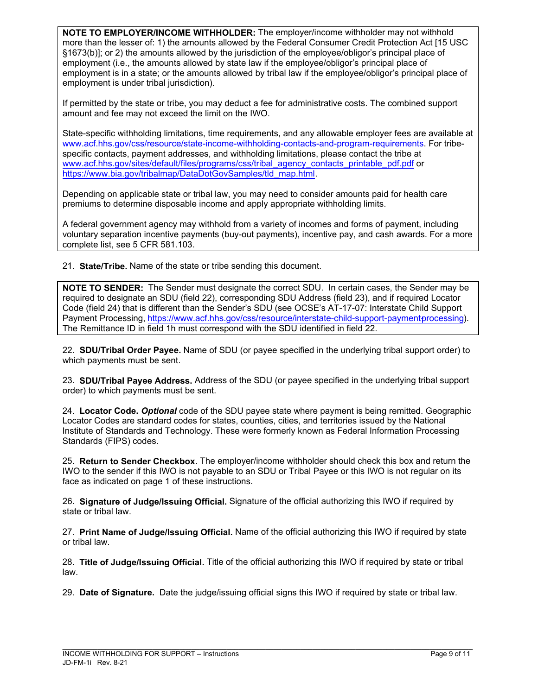**NOTE TO EMPLOYER/INCOME WITHHOLDER:** The employer/income withholder may not withhold more than the lesser of: 1) the amounts allowed by the Federal Consumer Credit Protection Act [15 USC §1673(b)]; or 2) the amounts allowed by the jurisdiction of the employee/obligor's principal place of employment (i.e., the amounts allowed by state law if the employee/obligor's principal place of employment is in a state; or the amounts allowed by tribal law if the employee/obligor's principal place of employment is under tribal jurisdiction).

If permitted by the state or tribe, you may deduct a fee for administrative costs. The combined support amount and fee may not exceed the limit on the IWO.

State-specific withholding limitations, time requirements, and any allowable employer fees are available at www.acf.hhs.gov/css/resource/state-income-withholding-contacts-and-program-requirements. For tribespecific contacts, payment addresses, and withholding limitations, please contact the tribe at www.acf.hhs.gov/sites/default/files/programs/css/tribal\_agency\_contacts\_printable\_pdf.pdf or https://www.bia.gov/tribalmap/DataDotGovSamples/tld\_map.html.

Depending on applicable state or tribal law, you may need to consider amounts paid for health care premiums to determine disposable income and apply appropriate withholding limits.

A federal government agency may withhold from a variety of incomes and forms of payment, including voluntary separation incentive payments (buy-out payments), incentive pay, and cash awards. For a more complete list, see 5 CFR 581.103.

21. **State/Tribe.** Name of the state or tribe sending this document.

**NOTE TO SENDER:** The Sender must designate the correct SDU. In certain cases, the Sender may be required to designate an SDU (field 22), corresponding SDU Address (field 23), and if required Locator Code (field 24) that is different than the Sender's SDU (see OCSE's AT-17-07: Interstate Child Support Payment Processing, https://www.acf.hhs.gov/css/resource/interstate-child-support-payment-processing). The Remittance ID in field 1h must correspond with the SDU identified in field 22.

22. **SDU/Tribal Order Payee.** Name of SDU (or payee specified in the underlying tribal support order) to which payments must be sent.

23. **SDU/Tribal Payee Address.** Address of the SDU (or payee specified in the underlying tribal support order) to which payments must be sent.

24. **Locator Code.** *Optional* code of the SDU payee state where payment is being remitted. Geographic Locator Codes are standard codes for states, counties, cities, and territories issued by the National Institute of Standards and Technology. These were formerly known as Federal Information Processing Standards (FIPS) codes.

25. **Return to Sender Checkbox.** The employer/income withholder should check this box and return the IWO to the sender if this IWO is not payable to an SDU or Tribal Payee or this IWO is not regular on its face as indicated on page 1 of these instructions.

26. **Signature of Judge/Issuing Official.** Signature of the official authorizing this IWO if required by state or tribal law.

27. **Print Name of Judge/Issuing Official.** Name of the official authorizing this IWO if required by state or tribal law.

28. **Title of Judge/Issuing Official.** Title of the official authorizing this IWO if required by state or tribal law.

29. **Date of Signature.** Date the judge/issuing official signs this IWO if required by state or tribal law.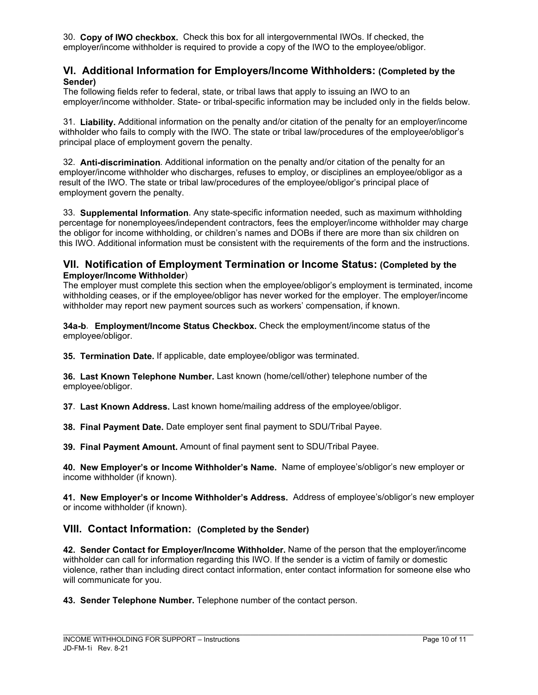30. **Copy of IWO checkbox.** Check this box for all intergovernmental IWOs. If checked, the employer/income withholder is required to provide a copy of the IWO to the employee/obligor.

### **VI. Additional Information for Employers/Income Withholders: (Completed by the Sender)**

The following fields refer to federal, state, or tribal laws that apply to issuing an IWO to an employer/income withholder. State- or tribal-specific information may be included only in the fields below.

31. **Liability.** Additional information on the penalty and/or citation of the penalty for an employer/income withholder who fails to comply with the IWO. The state or tribal law/procedures of the employee/obligor's principal place of employment govern the penalty.

32. **Anti-discrimination**. Additional information on the penalty and/or citation of the penalty for an employer/income withholder who discharges, refuses to employ, or disciplines an employee/obligor as a result of the IWO. The state or tribal law/procedures of the employee/obligor's principal place of employment govern the penalty.

33. **Supplemental Information**. Any state-specific information needed, such as maximum withholding percentage for nonemployees/independent contractors, fees the employer/income withholder may charge the obligor for income withholding, or children's names and DOBs if there are more than six children on this IWO. Additional information must be consistent with the requirements of the form and the instructions.

### **VII. Notification of Employment Termination or Income Status: (Completed by the Employer/Income Withholder**)

The employer must complete this section when the employee/obligor's employment is terminated, income withholding ceases, or if the employee/obligor has never worked for the employer. The employer/income withholder may report new payment sources such as workers' compensation, if known.

**34a-b**. **Employment/Income Status Checkbox.** Check the employment/income status of the employee/obligor.

**35. Termination Date.** If applicable, date employee/obligor was terminated.

**36. Last Known Telephone Number.** Last known (home/cell/other) telephone number of the employee/obligor.

**37**. **Last Known Address.** Last known home/mailing address of the employee/obligor.

**38. Final Payment Date.** Date employer sent final payment to SDU/Tribal Payee.

**39. Final Payment Amount.** Amount of final payment sent to SDU/Tribal Payee.

**40. New Employer's or Income Withholder's Name.** Name of employee's/obligor's new employer or income withholder (if known).

**41. New Employer's or Income Withholder's Address.** Address of employee's/obligor's new employer or income withholder (if known).

## **VIII. Contact Information: (Completed by the Sender)**

**42. Sender Contact for Employer/Income Withholder.** Name of the person that the employer/income withholder can call for information regarding this IWO. If the sender is a victim of family or domestic violence, rather than including direct contact information, enter contact information for someone else who will communicate for you.

**43. Sender Telephone Number.** Telephone number of the contact person.